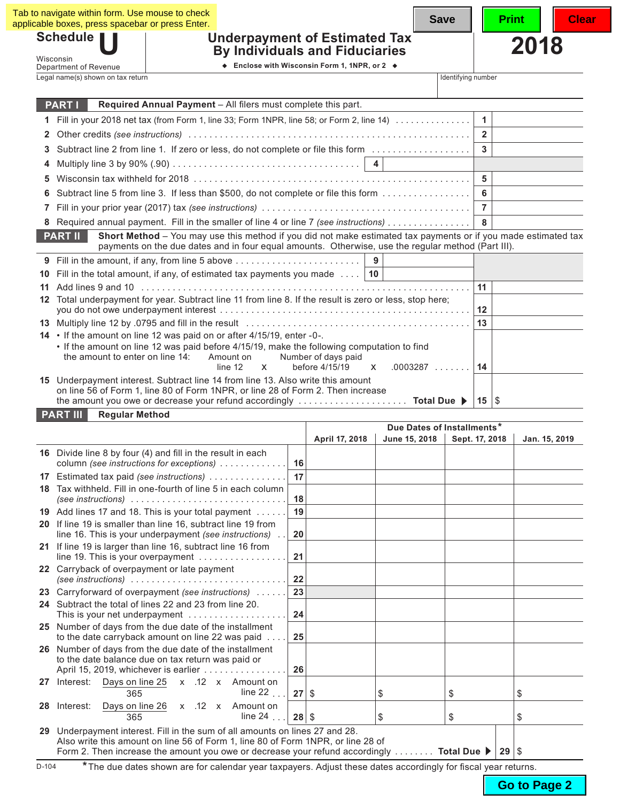| Schedule  <br><b>Underpayment of Estimated Tax</b><br><b>By Individuals and Fiduciaries</b>                                                                                                                                            |                    | 2018 |
|----------------------------------------------------------------------------------------------------------------------------------------------------------------------------------------------------------------------------------------|--------------------|------|
| Wisconsin<br>♦ Enclose with Wisconsin Form 1, 1NPR, or 2 ♦<br>Department of Revenue                                                                                                                                                    |                    |      |
| Legal name(s) shown on tax return                                                                                                                                                                                                      | Identifying number |      |
| Required Annual Payment - All filers must complete this part.<br><b>PART I</b>                                                                                                                                                         |                    |      |
| 1 Fill in your 2018 net tax (from Form 1, line 33; Form 1NPR, line 58; or Form 2, line 14)                                                                                                                                             | $\mathbf{1}$       |      |
|                                                                                                                                                                                                                                        | $\overline{2}$     |      |
| Subtract line 2 from line 1. If zero or less, do not complete or file this form<br>3                                                                                                                                                   | $\mathbf{3}$       |      |
|                                                                                                                                                                                                                                        |                    |      |
| 5                                                                                                                                                                                                                                      | $5\phantom{.0}$    |      |
| 6 Subtract line 5 from line 3. If less than \$500, do not complete or file this form                                                                                                                                                   | 6                  |      |
| 7                                                                                                                                                                                                                                      | $\overline{7}$     |      |
| Required annual payment. Fill in the smaller of line 4 or line 7 (see instructions)                                                                                                                                                    | 8                  |      |
| Short Method - You may use this method if you did not make estimated tax payments or if you made estimated tax<br><b>PART II</b><br>payments on the due dates and in four equal amounts. Otherwise, use the regular method (Part III). |                    |      |
| 9                                                                                                                                                                                                                                      |                    |      |
| Fill in the total amount, if any, of estimated tax payments you made $\dots$   10<br>10                                                                                                                                                |                    |      |
| 11                                                                                                                                                                                                                                     | 11                 |      |
| 12 Total underpayment for year. Subtract line 11 from line 8. If the result is zero or less, stop here;                                                                                                                                |                    |      |
|                                                                                                                                                                                                                                        | 12<br>13           |      |
| 14 • If the amount on line 12 was paid on or after 4/15/19, enter -0-.                                                                                                                                                                 |                    |      |
| . If the amount on line 12 was paid before 4/15/19, make the following computation to find                                                                                                                                             |                    |      |
| the amount to enter on line 14:<br>Amount on<br>Number of days paid                                                                                                                                                                    |                    |      |
| line 12<br>$\mathsf{x}$<br>before 4/15/19<br>$.0003287$<br>$\mathsf{x}$                                                                                                                                                                | 14                 |      |

|    |                                                                                                                                                                              |         | Due Dates of Installments* |               |                |         |               |
|----|------------------------------------------------------------------------------------------------------------------------------------------------------------------------------|---------|----------------------------|---------------|----------------|---------|---------------|
|    |                                                                                                                                                                              |         | April 17, 2018             | June 15, 2018 | Sept. 17, 2018 |         | Jan. 15, 2019 |
|    | 16 Divide line 8 by four (4) and fill in the result in each<br>column (see instructions for exceptions)                                                                      | 16      |                            |               |                |         |               |
| 17 | Estimated tax paid (see instructions)                                                                                                                                        | 17      |                            |               |                |         |               |
| 18 | Tax withheld. Fill in one-fourth of line 5 in each column<br>(see instructions) $\ldots \ldots \ldots \ldots \ldots \ldots \ldots \ldots \ldots$                             | 18      |                            |               |                |         |               |
|    | 19 Add lines 17 and 18. This is your total payment                                                                                                                           | 19      |                            |               |                |         |               |
|    | 20 If line 19 is smaller than line 16, subtract line 19 from<br>line 16. This is your underpayment (see instructions)                                                        | 20      |                            |               |                |         |               |
|    | 21 If line 19 is larger than line 16, subtract line 16 from<br>line 19. This is your overpayment                                                                             | 21      |                            |               |                |         |               |
|    | 22 Carryback of overpayment or late payment<br>(see instructions) $\ldots \ldots \ldots \ldots \ldots \ldots \ldots \ldots \ldots$                                           | 22      |                            |               |                |         |               |
| 23 | Carryforward of overpayment (see instructions)                                                                                                                               | 23      |                            |               |                |         |               |
|    | 24 Subtract the total of lines 22 and 23 from line 20.<br>This is your net underpayment $\ldots \ldots \ldots \ldots \ldots$                                                 | 24      |                            |               |                |         |               |
|    | 25 Number of days from the due date of the installment<br>to the date carryback amount on line 22 was paid                                                                   | 25      |                            |               |                |         |               |
|    | 26 Number of days from the due date of the installment<br>to the date balance due on tax return was paid or<br>April 15, 2019, whichever is earlier                          | 26      |                            |               |                |         |               |
| 27 | Interest: Days on line 25 x .12 x Amount on<br>line 22 $\ldots$<br>365                                                                                                       | 27      | \$                         | \$            | \$             |         | \$            |
| 28 | Days on line 26 x .12 x Amount on<br>Interest:<br>line $24$<br>365                                                                                                           | $28$ \$ |                            | \$            | \$             |         | \$            |
| 29 | Underpayment interest. Fill in the sum of all amounts on lines 27 and 28.                                                                                                    |         |                            |               |                |         |               |
|    | Also write this amount on line 56 of Form 1, line 80 of Form 1NPR, or line 28 of<br>Form 2. Then increase the amount you owe or decrease your refund accordingly Total Due ▶ |         |                            |               |                | 29   \$ |               |

D-104 **\***The due dates shown are for calendar year taxpayers. Adjust these dates accordingly for fiscal year returns.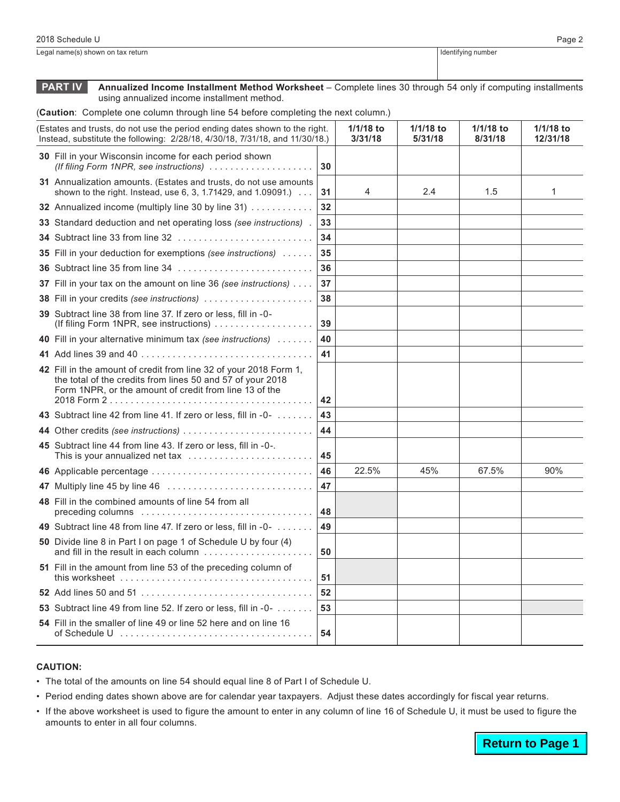Legal name(s) shown on tax return **IDENTIFYING** 100 and the state of the state of the state of the state of the state of the state of the state of the state of the state of the state of the state of the state of the state

**PART IV Annualized Income Installment Method Worksheet** – Complete lines 30 through 54 only if computing installments using annualized income installment method.

(**Caution**: Complete one column through line 54 before completing the next column.)

| (Estates and trusts, do not use the period ending dates shown to the right.<br>Instead, substitute the following: 2/28/18, 4/30/18, 7/31/18, and 11/30/18.) |                                                                                                                                                                                           |    | 1/1/18 to<br>3/31/18 | 1/1/18 to<br>5/31/18 | 1/1/18 to<br>8/31/18 | 1/1/18 to<br>12/31/18 |
|-------------------------------------------------------------------------------------------------------------------------------------------------------------|-------------------------------------------------------------------------------------------------------------------------------------------------------------------------------------------|----|----------------------|----------------------|----------------------|-----------------------|
|                                                                                                                                                             | 30 Fill in your Wisconsin income for each period shown<br>(If filing Form 1NPR, see instructions)                                                                                         | 30 |                      |                      |                      |                       |
|                                                                                                                                                             | 31 Annualization amounts. (Estates and trusts, do not use amounts<br>shown to the right. Instead, use 6, 3, 1.71429, and 1.09091.)                                                        | 31 | 4                    | 2.4                  | 1.5                  | 1                     |
|                                                                                                                                                             | 32 Annualized income (multiply line 30 by line 31)                                                                                                                                        | 32 |                      |                      |                      |                       |
|                                                                                                                                                             | 33 Standard deduction and net operating loss (see instructions).                                                                                                                          | 33 |                      |                      |                      |                       |
|                                                                                                                                                             | <b>34</b> Subtract line 33 from line 32                                                                                                                                                   | 34 |                      |                      |                      |                       |
|                                                                                                                                                             | <b>35</b> Fill in your deduction for exemptions (see instructions)                                                                                                                        | 35 |                      |                      |                      |                       |
|                                                                                                                                                             |                                                                                                                                                                                           | 36 |                      |                      |                      |                       |
|                                                                                                                                                             | 37 Fill in your tax on the amount on line 36 (see instructions)                                                                                                                           | 37 |                      |                      |                      |                       |
|                                                                                                                                                             | 38 Fill in your credits (see instructions)                                                                                                                                                | 38 |                      |                      |                      |                       |
|                                                                                                                                                             | 39 Subtract line 38 from line 37. If zero or less, fill in -0-<br>(If filing Form 1NPR, see instructions)                                                                                 | 39 |                      |                      |                      |                       |
|                                                                                                                                                             | 40 Fill in your alternative minimum tax (see instructions)                                                                                                                                | 40 |                      |                      |                      |                       |
|                                                                                                                                                             |                                                                                                                                                                                           | 41 |                      |                      |                      |                       |
|                                                                                                                                                             | 42 Fill in the amount of credit from line 32 of your 2018 Form 1,<br>the total of the credits from lines 50 and 57 of your 2018<br>Form 1NPR, or the amount of credit from line 13 of the | 42 |                      |                      |                      |                       |
|                                                                                                                                                             | 43 Subtract line 42 from line 41. If zero or less, fill in -0-                                                                                                                            | 43 |                      |                      |                      |                       |
|                                                                                                                                                             | 44 Other credits (see instructions)                                                                                                                                                       | 44 |                      |                      |                      |                       |
|                                                                                                                                                             | 45 Subtract line 44 from line 43. If zero or less, fill in -0-.<br>This is your annualized net tax                                                                                        | 45 |                      |                      |                      |                       |
|                                                                                                                                                             | 46 Applicable percentage                                                                                                                                                                  | 46 | 22.5%                | 45%                  | 67.5%                | 90%                   |
|                                                                                                                                                             | 47 Multiply line 45 by line 46                                                                                                                                                            | 47 |                      |                      |                      |                       |
|                                                                                                                                                             | 48 Fill in the combined amounts of line 54 from all                                                                                                                                       | 48 |                      |                      |                      |                       |
|                                                                                                                                                             | 49 Subtract line 48 from line 47. If zero or less, fill in -0-                                                                                                                            | 49 |                      |                      |                      |                       |
|                                                                                                                                                             | 50 Divide line 8 in Part I on page 1 of Schedule U by four (4)<br>and fill in the result in each column                                                                                   | 50 |                      |                      |                      |                       |
|                                                                                                                                                             | 51 Fill in the amount from line 53 of the preceding column of<br>this worksheet $\ldots \ldots \ldots \ldots \ldots \ldots \ldots \ldots \ldots \ldots$                                   | 51 |                      |                      |                      |                       |
|                                                                                                                                                             |                                                                                                                                                                                           | 52 |                      |                      |                      |                       |
|                                                                                                                                                             | 53 Subtract line 49 from line 52. If zero or less, fill in -0-                                                                                                                            | 53 |                      |                      |                      |                       |
|                                                                                                                                                             | 54 Fill in the smaller of line 49 or line 52 here and on line 16                                                                                                                          | 54 |                      |                      |                      |                       |

## **CAUTION:**

- • The total of the amounts on line 54 should equal line 8 of Part I of Schedule U.
- Period ending dates shown above are for calendar year taxpayers. Adjust these dates accordingly for fiscal year returns.
- • If the above worksheet is used to figure the amount to enter in any column of line 16 of Schedule U, it must be used to figure the amounts to enter in all four columns.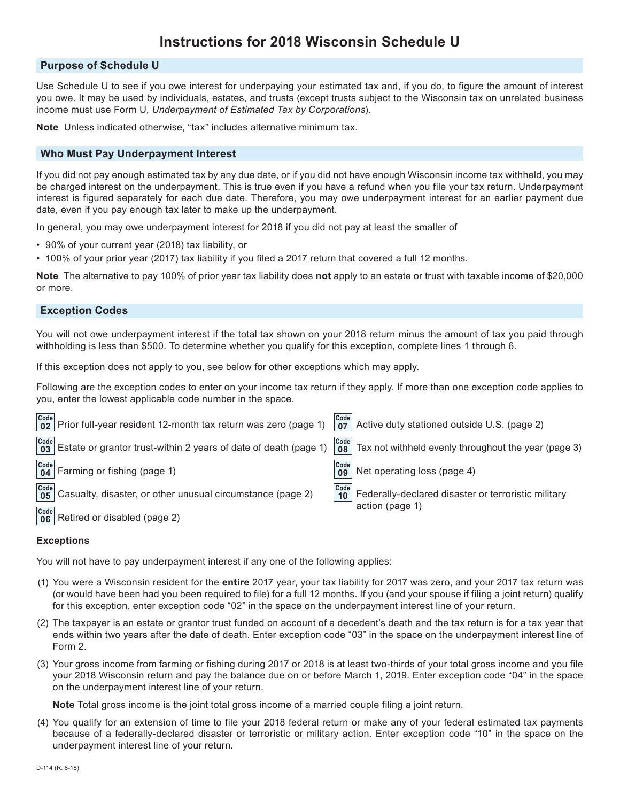# **Instructions for 2018 Wisconsin Schedule U**

## **Purpose of Schedule U**

Use Schedule U to see if you owe interest for underpaying your estimated tax and, if you do, to figure the amount of interest you owe. It may be used by individuals, estates, and trusts (except trusts subject to the Wisconsin tax on unrelated business income must use Form U, *Underpayment of Estimated Tax by Corporations*).

**Note** Unless indicated otherwise, "tax" includes alternative minimum tax.

# **Who Must Pay Underpayment Interest**

If you did not pay enough estimated tax by any due date, or if you did not have enough Wisconsin income tax withheld, you may be charged interest on the underpayment. This is true even if you have a refund when you file your tax return. Underpayment interest is figured separately for each due date. Therefore, you may owe underpayment interest for an earlier payment due date, even if you pay enough tax later to make up the underpayment.

In general, you may owe underpayment interest for 2018 if you did not pay at least the smaller of

- 90% of your current year (2018) tax liability, or
- 100% of your prior year (2017) tax liability if you filed a 2017 return that covered a full 12 months.

**Note** The alternative to pay 100% of prior year tax liability does **not** apply to an estate or trust with taxable income of \$20,000 or more.

## **Exception Codes**

You will not owe underpayment interest if the total tax shown on your 2018 return minus the amount of tax you paid through withholding is less than \$500. To determine whether you qualify for this exception, complete lines 1 through 6.

If this exception does not apply to you, see below for other exceptions which may apply.

Following are the exception codes to enter on your income tax return if they apply. If more than one exception code applies to you, enter the lowest applicable code number in the space.

|      | $\begin{vmatrix} \text{Code} \\ \text{02} \end{vmatrix}$ Prior full-year resident 12-month tax return was zero (page 1)                                                                                                                                                                                                             | $\begin{array}{ c c }\n\hline\n\text{Code} & \text{O}7\n\end{array}$ | Active duty stationed outside U.S. (page 2)                            |
|------|-------------------------------------------------------------------------------------------------------------------------------------------------------------------------------------------------------------------------------------------------------------------------------------------------------------------------------------|----------------------------------------------------------------------|------------------------------------------------------------------------|
|      | $\frac{[Code]}{03}$ Estate or grantor trust-within 2 years of date of death (page 1)                                                                                                                                                                                                                                                | Code<br>08 <sup>1</sup>                                              | $^\dagger$ Tax not withheld evenly throughout the year (page 3)        |
|      | $\begin{bmatrix} \text{Code} \\ \text{04} \end{bmatrix}$ Farming or fishing (page 1)                                                                                                                                                                                                                                                | $\begin{array}{ c c }\n\hline\n\text{Code} & \text{09}\n\end{array}$ | Net operating loss (page 4)                                            |
| Code | $\frac{\text{Code}}{\text{05}}$ Casualty, disaster, or other unusual circumstance (page 2)<br>$\frac{1}{2}$ and $\frac{1}{2}$ are the set of the set of the set of the set of the set of the set of the set of the set of the set of the set of the set of the set of the set of the set of the set of the set of the set of the se | Code<br>10 <sup>1</sup>                                              | Federally-declared disaster or terroristic military<br>action (page 1) |

Retired or disabled (page 2) **Code 06**

#### **Exceptions**

You will not have to pay underpayment interest if any one of the following applies:

- (1) You were a Wisconsin resident for the **entire** 2017 year, your tax liability for 2017 was zero, and your 2017 tax return was (or would have been had you been required to file) for a full 12 months. If you (and your spouse if filing a joint return) qualify for this exception, enter exception code "02" in the space on the underpayment interest line of your return.
- (2) The taxpayer is an estate or grantor trust funded on account of a decedent's death and the tax return is for a tax year that ends within two years after the date of death. Enter exception code "03" in the space on the underpayment interest line of Form 2.
- (3) Your gross income from farming or fishing during 2017 or 2018 is at least two-thirds of your total gross income and you file your 2018 Wisconsin return and pay the balance due on or before March 1, 2019. Enter exception code "04" in the space on the underpayment interest line of your return.

**Note** Total gross income is the joint total gross income of a married couple filing a joint return.

(4) You qualify for an extension of time to file your 2018 federal return or make any of your federal estimated tax payments because of a federally-declared disaster or terroristic or military action. Enter exception code "10" in the space on the underpayment interest line of your return.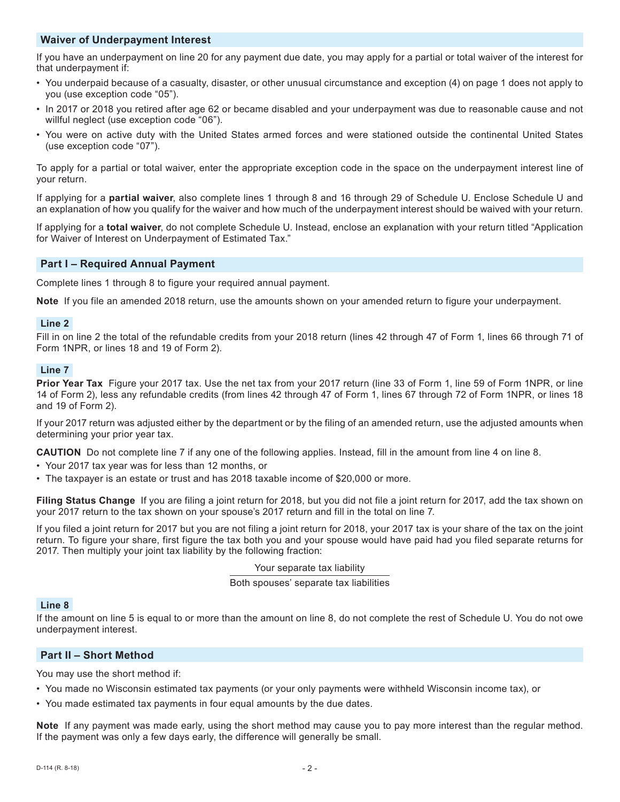# **Waiver of Underpayment Interest**

If you have an underpayment on line 20 for any payment due date, you may apply for a partial or total waiver of the interest for that underpayment if:

- You underpaid because of a casualty, disaster, or other unusual circumstance and exception (4) on page 1 does not apply to you (use exception code "05").
- In 2017 or 2018 you retired after age 62 or became disabled and your underpayment was due to reasonable cause and not willful neglect (use exception code "06").
- You were on active duty with the United States armed forces and were stationed outside the continental United States (use exception code "07").

To apply for a partial or total waiver, enter the appropriate exception code in the space on the underpayment interest line of your return.

If applying for a **partial waiver**, also complete lines 1 through 8 and 16 through 29 of Schedule U. Enclose Schedule U and an explanation of how you qualify for the waiver and how much of the underpayment interest should be waived with your return.

If applying for a **total waiver**, do not complete Schedule U. Instead, enclose an explanation with your return titled "Application for Waiver of Interest on Underpayment of Estimated Tax."

# **Part I – Required Annual Payment**

Complete lines 1 through 8 to figure your required annual payment.

**Note** If you file an amended 2018 return, use the amounts shown on your amended return to figure your underpayment.

## **Line 2**

Fill in on line 2 the total of the refundable credits from your 2018 return (lines 42 through 47 of Form 1, lines 66 through 71 of Form 1NPR, or lines 18 and 19 of Form 2).

## **Line 7**

**Prior Year Tax** Figure your 2017 tax. Use the net tax from your 2017 return (line 33 of Form 1, line 59 of Form 1NPR, or line 14 of Form 2), less any refundable credits (from lines 42 through 47 of Form 1, lines 67 through 72 of Form 1NPR, or lines 18 and 19 of Form 2).

If your 2017 return was adjusted either by the department or by the filing of an amended return, use the adjusted amounts when determining your prior year tax.

**CAUTION** Do not complete line 7 if any one of the following applies. Instead, fill in the amount from line 4 on line 8.

- Your 2017 tax year was for less than 12 months, or
- The taxpayer is an estate or trust and has 2018 taxable income of \$20,000 or more.

**Filing Status Change** If you are filing a joint return for 2018, but you did not file a joint return for 2017, add the tax shown on your 2017 return to the tax shown on your spouse's 2017 return and fill in the total on line 7.

If you filed a joint return for 2017 but you are not filing a joint return for 2018, your 2017 tax is your share of the tax on the joint return. To figure your share, first figure the tax both you and your spouse would have paid had you filed separate returns for 2017. Then multiply your joint tax liability by the following fraction:

Your separate tax liability

Both spouses' separate tax liabilities

# **Line 8**

If the amount on line 5 is equal to or more than the amount on line 8, do not complete the rest of Schedule U. You do not owe underpayment interest.

# **Part II – Short Method**

You may use the short method if:

- You made no Wisconsin estimated tax payments (or your only payments were withheld Wisconsin income tax), or
- You made estimated tax payments in four equal amounts by the due dates.

**Note** If any payment was made early, using the short method may cause you to pay more interest than the regular method. If the payment was only a few days early, the difference will generally be small.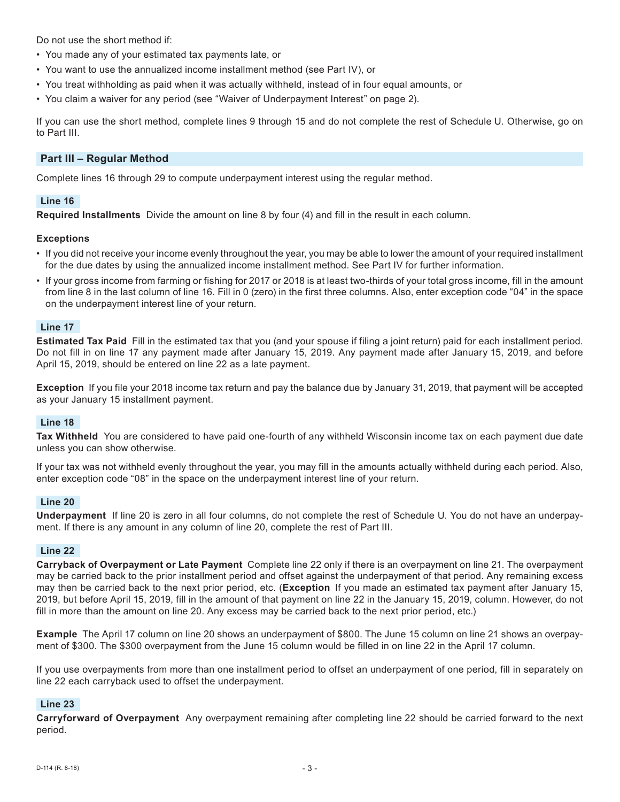Do not use the short method if:

- You made any of your estimated tax payments late, or
- You want to use the annualized income installment method (see Part IV), or
- You treat withholding as paid when it was actually withheld, instead of in four equal amounts, or
- You claim a waiver for any period (see "Waiver of Underpayment Interest" on page 2).

If you can use the short method, complete lines 9 through 15 and do not complete the rest of Schedule U. Otherwise, go on to Part III.

# **Part III – Regular Method**

Complete lines 16 through 29 to compute underpayment interest using the regular method.

## **Line 16**

**Required Installments** Divide the amount on line 8 by four (4) and fill in the result in each column.

## **Exceptions**

- If you did not receive your income evenly throughout the year, you may be able to lower the amount of your required installment for the due dates by using the annualized income installment method. See Part IV for further information.
- If your gross income from farming or fishing for 2017 or 2018 is at least two-thirds of your total gross income, fill in the amount from line 8 in the last column of line 16. Fill in 0 (zero) in the first three columns. Also, enter exception code "04" in the space on the underpayment interest line of your return.

#### **Line 17**

**Estimated Tax Paid** Fill in the estimated tax that you (and your spouse if filing a joint return) paid for each installment period. Do not fill in on line 17 any payment made after January 15, 2019. Any payment made after January 15, 2019, and before April 15, 2019, should be entered on line 22 as a late payment.

**Exception** If you file your 2018 income tax return and pay the balance due by January 31, 2019, that payment will be accepted as your January 15 installment payment.

#### **Line 18**

**Tax Withheld** You are considered to have paid one-fourth of any withheld Wisconsin income tax on each payment due date unless you can show otherwise.

If your tax was not withheld evenly throughout the year, you may fill in the amounts actually withheld during each period. Also, enter exception code "08" in the space on the underpayment interest line of your return.

# **Line 20**

**Underpayment** If line 20 is zero in all four columns, do not complete the rest of Schedule U. You do not have an underpayment. If there is any amount in any column of line 20, complete the rest of Part III.

## **Line 22**

**Carryback of Overpayment or Late Payment** Complete line 22 only if there is an overpayment on line 21. The overpayment may be carried back to the prior installment period and offset against the underpayment of that period. Any remaining excess may then be carried back to the next prior period, etc. (**Exception** If you made an estimated tax payment after January 15, 2019, but before April 15, 2019, fill in the amount of that payment on line 22 in the January 15, 2019, column. However, do not fill in more than the amount on line 20. Any excess may be carried back to the next prior period, etc.)

**Example** The April 17 column on line 20 shows an underpayment of \$800. The June 15 column on line 21 shows an overpayment of \$300. The \$300 overpayment from the June 15 column would be filled in on line 22 in the April 17 column.

If you use overpayments from more than one installment period to offset an underpayment of one period, fill in separately on line 22 each carryback used to offset the underpayment.

# **Line 23**

**Carryforward of Overpayment** Any overpayment remaining after completing line 22 should be carried forward to the next period.